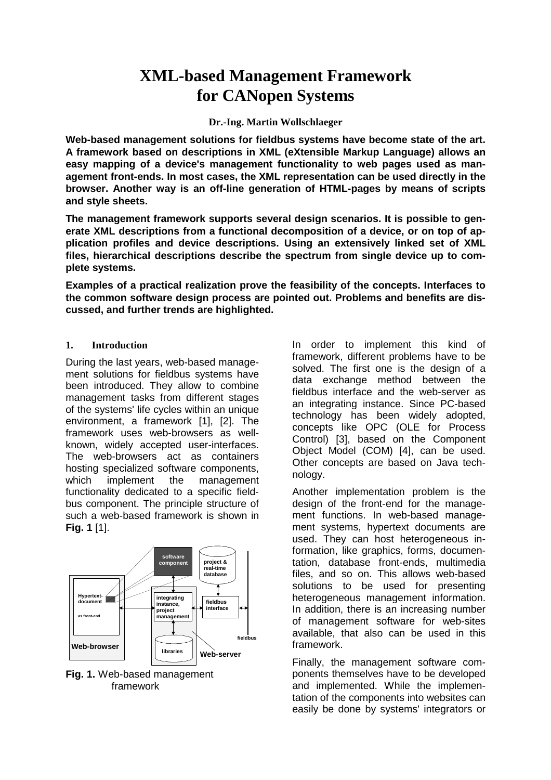# **XML-based Management Framework for CANopen Systems**

## **Dr.-Ing. Martin Wollschlaeger**

**Web-based management solutions for fieldbus systems have become state of the art. A framework based on descriptions in XML (eXtensible Markup Language) allows an easy mapping of a device's management functionality to web pages used as management front-ends. In most cases, the XML representation can be used directly in the browser. Another way is an off-line generation of HTML-pages by means of scripts and style sheets.**

**The management framework supports several design scenarios. It is possible to generate XML descriptions from a functional decomposition of a device, or on top of application profiles and device descriptions. Using an extensively linked set of XML files, hierarchical descriptions describe the spectrum from single device up to complete systems.**

**Examples of a practical realization prove the feasibility of the concepts. Interfaces to the common software design process are pointed out. Problems and benefits are discussed, and further trends are highlighted.**

### **1. Introduction**

During the last years, web-based management solutions for fieldbus systems have been introduced. They allow to combine management tasks from different stages of the systems' life cycles within an unique environment, a framework [1], [2]. The framework uses web-browsers as wellknown, widely accepted user-interfaces. The web-browsers act as containers hosting specialized software components, which implement the management functionality dedicated to a specific fieldbus component. The principle structure of such a web-based framework is shown in **Fig. 1** [1].



**Fig. 1.** Web-based management framework

In order to implement this kind of framework, different problems have to be solved. The first one is the design of a data exchange method between the fieldbus interface and the web-server as an integrating instance. Since PC-based technology has been widely adopted, concepts like OPC (OLE for Process Control) [3], based on the Component Object Model (COM) [4], can be used. Other concepts are based on Java technology.

Another implementation problem is the design of the front-end for the management functions. In web-based management systems, hypertext documents are used. They can host heterogeneous information, like graphics, forms, documentation, database front-ends, multimedia files, and so on. This allows web-based solutions to be used for presenting heterogeneous management information. In addition, there is an increasing number of management software for web-sites available, that also can be used in this framework.

Finally, the management software components themselves have to be developed and implemented. While the implementation of the components into websites can easily be done by systems' integrators or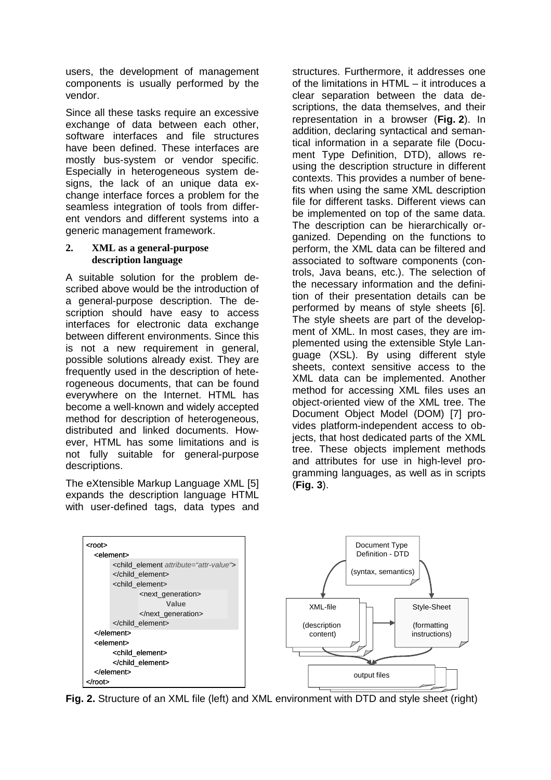users, the development of management components is usually performed by the vendor.

Since all these tasks require an excessive exchange of data between each other, software interfaces and file structures have been defined. These interfaces are mostly bus-system or vendor specific. Especially in heterogeneous system designs, the lack of an unique data exchange interface forces a problem for the seamless integration of tools from different vendors and different systems into a generic management framework.

## **2. XML as a general-purpose description language**

A suitable solution for the problem described above would be the introduction of a general-purpose description. The description should have easy to access interfaces for electronic data exchange between different environments. Since this is not a new requirement in general, possible solutions already exist. They are frequently used in the description of heterogeneous documents, that can be found everywhere on the Internet. HTML has become a well-known and widely accepted method for description of heterogeneous, distributed and linked documents. However, HTML has some limitations and is not fully suitable for general-purpose descriptions.

The eXtensible Markup Language XML [5] expands the description language HTML with user-defined tags, data types and structures. Furthermore, it addresses one of the limitations in HTML – it introduces a clear separation between the data descriptions, the data themselves, and their representation in a browser (**Fig. 2**). In addition, declaring syntactical and semantical information in a separate file (Document Type Definition, DTD), allows reusing the description structure in different contexts. This provides a number of benefits when using the same XML description file for different tasks. Different views can be implemented on top of the same data. The description can be hierarchically organized. Depending on the functions to perform, the XML data can be filtered and associated to software components (controls, Java beans, etc.). The selection of the necessary information and the definition of their presentation details can be performed by means of style sheets [6]. The style sheets are part of the development of XML. In most cases, they are implemented using the extensible Style Language (XSL). By using different style sheets, context sensitive access to the XML data can be implemented. Another method for accessing XML files uses an object-oriented view of the XML tree. The Document Object Model (DOM) [7] provides platform-independent access to objects, that host dedicated parts of the XML tree. These objects implement methods and attributes for use in high-level programming languages, as well as in scripts (**Fig. 3**).



**Fig. 2.** Structure of an XML file (left) and XML environment with DTD and style sheet (right)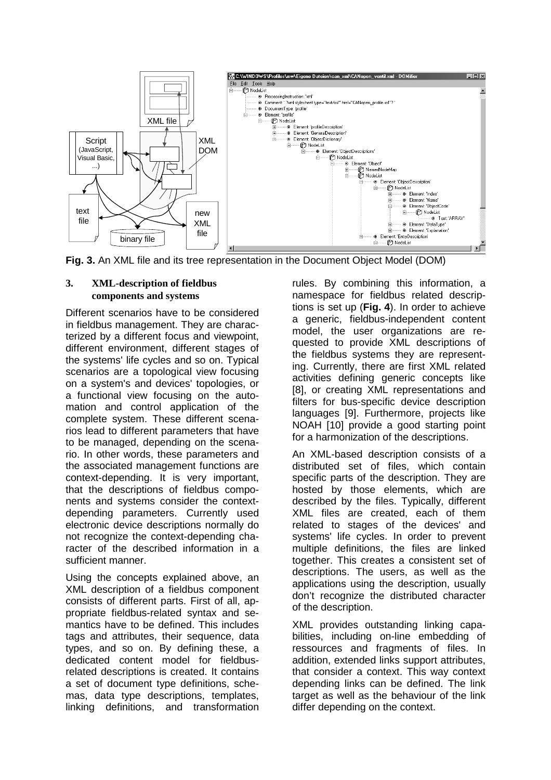

**Fig. 3.** An XML file and its tree representation in the Document Object Model (DOM)

#### **3. XML-description of fieldbus components and systems**

Different scenarios have to be considered in fieldbus management. They are characterized by a different focus and viewpoint, different environment, different stages of the systems' life cycles and so on. Typical scenarios are a topological view focusing on a system's and devices' topologies, or a functional view focusing on the automation and control application of the complete system. These different scenarios lead to different parameters that have to be managed, depending on the scenario. In other words, these parameters and the associated management functions are context-depending. It is very important, that the descriptions of fieldbus components and systems consider the contextdepending parameters. Currently used electronic device descriptions normally do not recognize the context-depending character of the described information in a sufficient manner.

Using the concepts explained above, an XML description of a fieldbus component consists of different parts. First of all, appropriate fieldbus-related syntax and semantics have to be defined. This includes tags and attributes, their sequence, data types, and so on. By defining these, a dedicated content model for fieldbusrelated descriptions is created. It contains a set of document type definitions, schemas, data type descriptions, templates, linking definitions, and transformation rules. By combining this information, a namespace for fieldbus related descriptions is set up (**Fig. 4**). In order to achieve a generic, fieldbus-independent content model, the user organizations are requested to provide XML descriptions of the fieldbus systems they are representing. Currently, there are first XML related activities defining generic concepts like [8], or creating XML representations and filters for bus-specific device description languages [9]. Furthermore, projects like NOAH [10] provide a good starting point for a harmonization of the descriptions.

An XML-based description consists of a distributed set of files, which contain specific parts of the description. They are hosted by those elements, which are described by the files. Typically, different XML files are created, each of them related to stages of the devices' and systems' life cycles. In order to prevent multiple definitions, the files are linked together. This creates a consistent set of descriptions. The users, as well as the applications using the description, usually don't recognize the distributed character of the description.

XML provides outstanding linking capabilities, including on-line embedding of ressources and fragments of files. In addition, extended links support attributes, that consider a context. This way context depending links can be defined. The link target as well as the behaviour of the link differ depending on the context.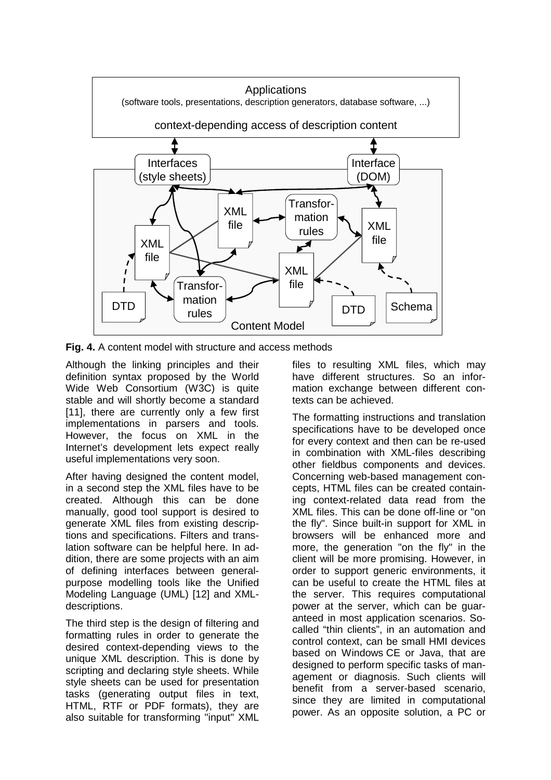

**Fig. 4.** A content model with structure and access methods

Although the linking principles and their definition syntax proposed by the World Wide Web Consortium (W3C) is quite stable and will shortly become a standard [11], there are currently only a few first implementations in parsers and tools. However, the focus on XML in the Internet's development lets expect really useful implementations very soon.

After having designed the content model, in a second step the XML files have to be created. Although this can be done manually, good tool support is desired to generate XML files from existing descriptions and specifications. Filters and translation software can be helpful here. In addition, there are some projects with an aim of defining interfaces between generalpurpose modelling tools like the Unified Modeling Language (UML) [12] and XMLdescriptions.

The third step is the design of filtering and formatting rules in order to generate the desired context-depending views to the unique XML description. This is done by scripting and declaring style sheets. While style sheets can be used for presentation tasks (generating output files in text, HTML, RTF or PDF formats), they are also suitable for transforming "input" XML

files to resulting XML files, which may have different structures. So an information exchange between different contexts can be achieved.

The formatting instructions and translation specifications have to be developed once for every context and then can be re-used in combination with XML-files describing other fieldbus components and devices. Concerning web-based management concepts, HTML files can be created containing context-related data read from the XML files. This can be done off-line or "on the fly". Since built-in support for XML in browsers will be enhanced more and more, the generation "on the fly" in the client will be more promising. However, in order to support generic environments, it can be useful to create the HTML files at the server. This requires computational power at the server, which can be guaranteed in most application scenarios. Socalled "thin clients", in an automation and control context, can be small HMI devices based on Windows CE or Java, that are designed to perform specific tasks of management or diagnosis. Such clients will benefit from a server-based scenario, since they are limited in computational power. As an opposite solution, a PC or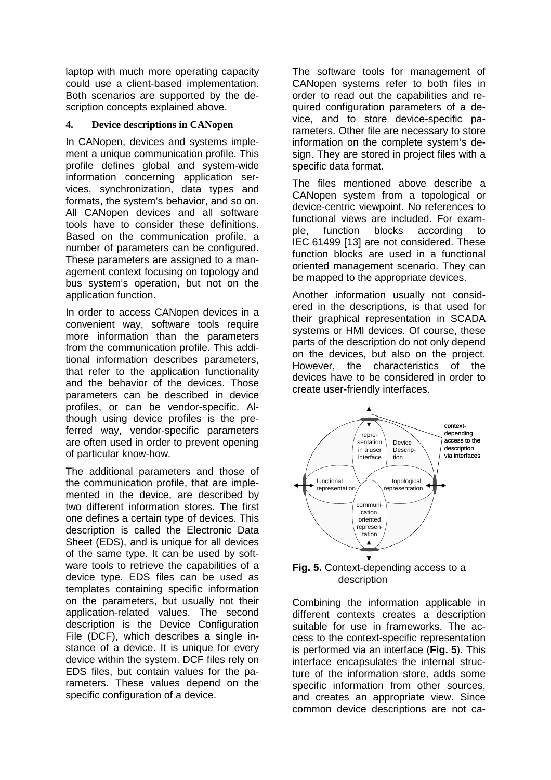laptop with much more operating capacity could use a client-based implementation. Both scenarios are supported by the description concepts explained above.

## **4. Device descriptions in CANopen**

In CANopen, devices and systems implement a unique communication profile. This profile defines global and system-wide information concerning application services, synchronization, data types and formats, the system's behavior, and so on. All CANopen devices and all software tools have to consider these definitions. Based on the communication profile, a number of parameters can be configured. These parameters are assigned to a management context focusing on topology and bus system's operation, but not on the application function.

In order to access CANopen devices in a convenient way, software tools require more information than the parameters from the communication profile. This additional information describes parameters, that refer to the application functionality and the behavior of the devices. Those parameters can be described in device profiles, or can be vendor-specific. Although using device profiles is the preferred way, vendor-specific parameters are often used in order to prevent opening of particular know-how.

The additional parameters and those of the communication profile, that are implemented in the device, are described by two different information stores. The first one defines a certain type of devices. This description is called the Electronic Data Sheet (EDS), and is unique for all devices of the same type. It can be used by software tools to retrieve the capabilities of a device type. EDS files can be used as templates containing specific information on the parameters, but usually not their application-related values. The second description is the Device Configuration File (DCF), which describes a single instance of a device. It is unique for every device within the system. DCF files rely on EDS files, but contain values for the parameters. These values depend on the specific configuration of a device.

The software tools for management of CANopen systems refer to both files in order to read out the capabilities and required configuration parameters of a device, and to store device-specific parameters. Other file are necessary to store information on the complete system's design. They are stored in project files with a specific data format.

The files mentioned above describe a CANopen system from a topological or device-centric viewpoint. No references to functional views are included. For example, function blocks according to IEC 61499 [13] are not considered. These function blocks are used in a functional oriented management scenario. They can be mapped to the appropriate devices.

Another information usually not considered in the descriptions, is that used for their graphical representation in SCADA systems or HMI devices. Of course, these parts of the description do not only depend on the devices, but also on the project. However, the characteristics of the devices have to be considered in order to create user-friendly interfaces.



**Fig. 5.** Context-depending access to a description

Combining the information applicable in different contexts creates a description suitable for use in frameworks. The access to the context-specific representation is performed via an interface (**Fig. 5**). This interface encapsulates the internal structure of the information store, adds some specific information from other sources. and creates an appropriate view. Since common device descriptions are not ca-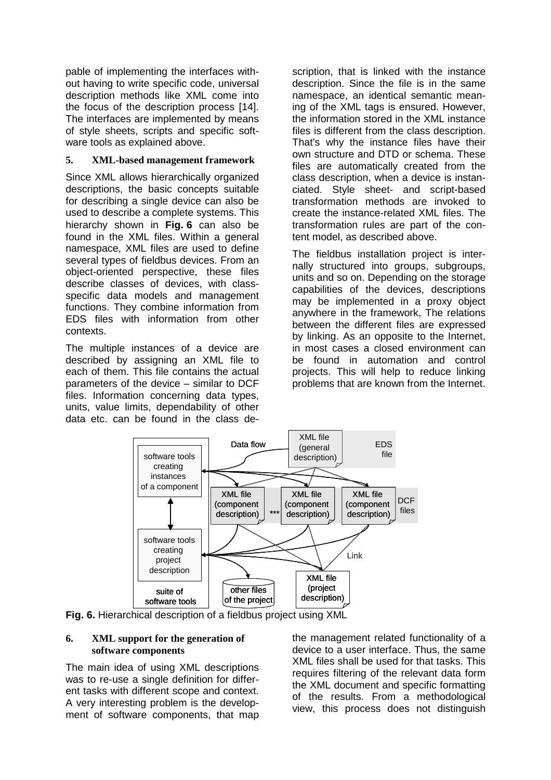pable of implementing the interfaces without having to write specific code, universal description methods like XML come into the focus of the description process [14]. The interfaces are implemented by means of style sheets, scripts and specific software tools as explained above.

# **5. XML-based management framework**

Since XML allows hierarchically organized descriptions, the basic concepts suitable for describing a single device can also be used to describe a complete systems. This hierarchy shown in **Fig. 6** can also be found in the XML files. Within a general namespace, XML files are used to define several types of fieldbus devices. From an object-oriented perspective, these files describe classes of devices, with classspecific data models and management functions. They combine information from EDS files with information from other contexts.

The multiple instances of a device are described by assigning an XML file to each of them. This file contains the actual parameters of the device – similar to DCF files. Information concerning data types, units, value limits, dependability of other data etc. can be found in the class description, that is linked with the instance description. Since the file is in the same namespace, an identical semantic meaning of the XML tags is ensured. However, the information stored in the XML instance files is different from the class description. That's why the instance files have their own structure and DTD or schema. These files are automatically created from the class description, when a device is instanciated. Style sheet- and script-based transformation methods are invoked to create the instance-related XML files. The transformation rules are part of the content model, as described above.

The fieldbus installation project is internally structured into groups, subgroups, units and so on. Depending on the storage capabilities of the devices, descriptions may be implemented in a proxy object anywhere in the framework, The relations between the different files are expressed by linking. As an opposite to the Internet, in most cases a closed environment can be found in automation and control projects. This will help to reduce linking problems that are known from the Internet.



**Fig. 6.** Hierarchical description of a fieldbus project using XML

#### **6. XML support for the generation of software components**

The main idea of using XML descriptions was to re-use a single definition for different tasks with different scope and context. A very interesting problem is the development of software components, that map

the management related functionality of a device to a user interface. Thus, the same XML files shall be used for that tasks. This requires filtering of the relevant data form the XML document and specific formatting of the results. From a methodological view, this process does not distinguish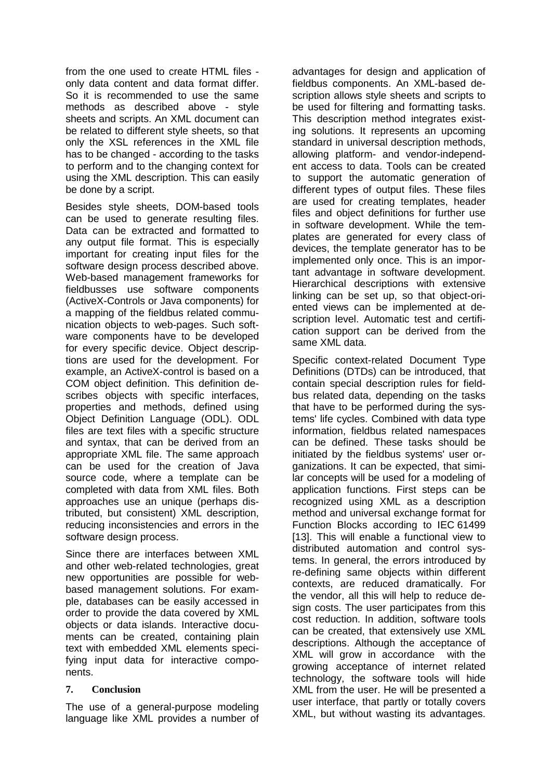from the one used to create HTML files only data content and data format differ. So it is recommended to use the same methods as described above - style sheets and scripts. An XML document can be related to different style sheets, so that only the XSL references in the XML file has to be changed - according to the tasks to perform and to the changing context for using the XML description. This can easily be done by a script.

Besides style sheets, DOM-based tools can be used to generate resulting files. Data can be extracted and formatted to any output file format. This is especially important for creating input files for the software design process described above. Web-based management frameworks for fieldbusses use software components (ActiveX-Controls or Java components) for a mapping of the fieldbus related communication objects to web-pages. Such software components have to be developed for every specific device. Object descriptions are used for the development. For example, an ActiveX-control is based on a COM object definition. This definition describes objects with specific interfaces, properties and methods, defined using Object Definition Language (ODL). ODL files are text files with a specific structure and syntax, that can be derived from an appropriate XML file. The same approach can be used for the creation of Java source code, where a template can be completed with data from XML files. Both approaches use an unique (perhaps distributed, but consistent) XML description, reducing inconsistencies and errors in the software design process.

Since there are interfaces between XML and other web-related technologies, great new opportunities are possible for webbased management solutions. For example, databases can be easily accessed in order to provide the data covered by XML objects or data islands. Interactive documents can be created, containing plain text with embedded XML elements specifying input data for interactive components.

#### **7. Conclusion**

The use of a general-purpose modeling language like XML provides a number of advantages for design and application of fieldbus components. An XML-based description allows style sheets and scripts to be used for filtering and formatting tasks. This description method integrates existing solutions. It represents an upcoming standard in universal description methods, allowing platform- and vendor-independent access to data. Tools can be created to support the automatic generation of different types of output files. These files are used for creating templates, header files and object definitions for further use in software development. While the templates are generated for every class of devices, the template generator has to be implemented only once. This is an important advantage in software development. Hierarchical descriptions with extensive linking can be set up, so that object-oriented views can be implemented at description level. Automatic test and certification support can be derived from the same XML data.

Specific context-related Document Type Definitions (DTDs) can be introduced, that contain special description rules for fieldbus related data, depending on the tasks that have to be performed during the systems' life cycles. Combined with data type information, fieldbus related namespaces can be defined. These tasks should be initiated by the fieldbus systems' user organizations. It can be expected, that similar concepts will be used for a modeling of application functions. First steps can be recognized using XML as a description method and universal exchange format for Function Blocks according to IEC 61499 [13]. This will enable a functional view to distributed automation and control systems. In general, the errors introduced by re-defining same objects within different contexts, are reduced dramatically. For the vendor, all this will help to reduce design costs. The user participates from this cost reduction. In addition, software tools can be created, that extensively use XML descriptions. Although the acceptance of XML will grow in accordance with the growing acceptance of internet related technology, the software tools will hide XML from the user. He will be presented a user interface, that partly or totally covers XML, but without wasting its advantages.